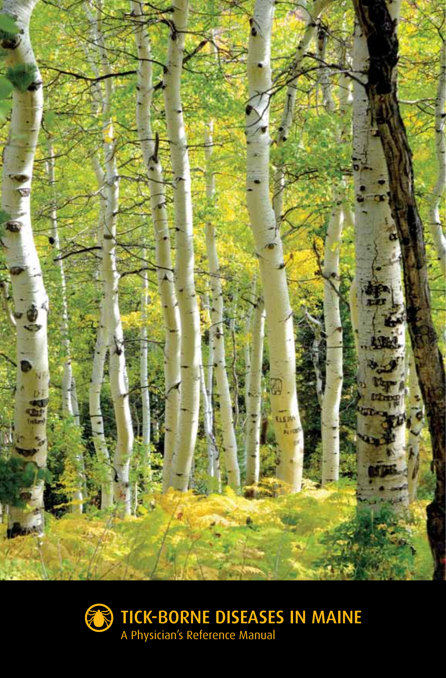

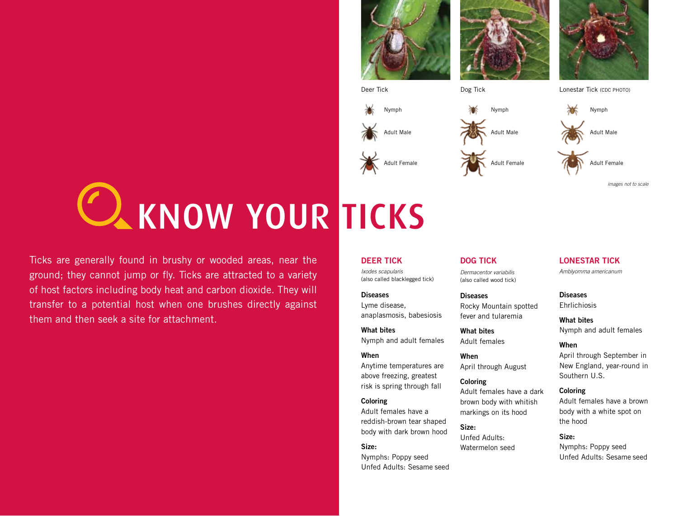





Deer Tick **Dog Tick** Dog Tick **Dog Tick CDC PHOTO** 



#### *images not to scale*

# **O KNOW YOUR TICKS**

Ticks are generally found in brushy or wooded areas, near the ground; they cannot jump or fly. Ticks are attracted to a variety of host factors including body heat and carbon dioxide. They will transfer to a potential host when one brushes directly against them and then seek a site for attachment.

#### **Deer Tick**

**Diseases** Lyme disease,

**What bites**

**When**

**Coloring**

**Size:**

#### *Ixodes scapularis* (also called blacklegged tick)

anaplasmosis, babesiosis

Nymph and adult females

Anytime temperatures are above freezing, greatest risk is spring through fall

Adult females have a reddish-brown tear shaped body with dark brown hood *Dermacentor variabilis* 

#### **Diseases**

Rocky Mountain spotted fever and tularemia

**What bites** Adult females

**When**

Adult females have a dark brown body with whitish markings on its hood

Unfed Adults: Watermelon seed

Nymphs: Poppy seed Unfed Adults: Sesame seed

### **Dog Tick**

(also called wood tick)

April through August

#### **Coloring**

**Size:**

#### **lonestar Tick** *Amblyomma americanum*

**Diseases**

Ehrlichiosis

**What bites** Nymph and adult females

#### **When**

April through September in New England, year-round in Southern U.S.

#### **Coloring**

Adult females have a brown body with a white spot on the hood

#### **Size:**

Nymphs: Poppy seed Unfed Adults: Sesame seed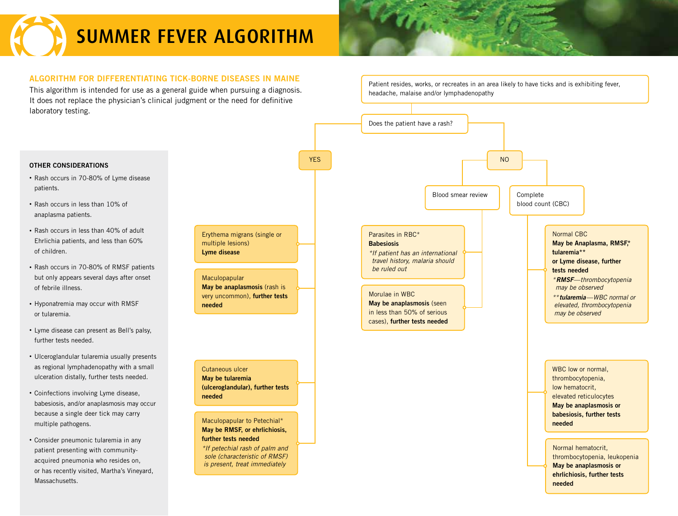## summer fever Algorithm

#### **Algorithm for Differentiating Tick-borne Diseases in Maine**

This algorithm is intended for use as a general guide when pursuing a diagnosis. It does not replace the physician's clinical judgment or the need for definitive laboratory testing.

Patient resides, works, or recreates in an area likely to have ticks and is exhibiting fever, headache, malaise and/or lymphadenopathy



 $n_{\alpha}$ 

• Rash occurs in 70-80% of Lyme disease patients.

• Rash occurs in less than 10% of anaplasma patients.

**Other Considerations**

- Rash occurs in less than 40% of adult Ehrlichia patients, and less than 60% of children.
- Rash occurs in 70-80% of RMSF patients but only appears several days after onset of febrile illness.
- Hyponatremia may occur with RMSF or tularemia.
- • Lyme disease can present as Bell's palsy, further tests needed.
- Ulceroglandular tularemia usually presents as regional lymphadenopathy with a small ulceration distally, further tests needed.
- Coinfections involving Lyme disease, babesiosis, and/or anaplasmosis may occur because a single deer tick may carry multiple pathogens.
- Consider pneumonic tularemia in any patient presenting with communityacquired pneumonia who resides on, or has recently visited, Martha's Vineyard, **Massachusetts**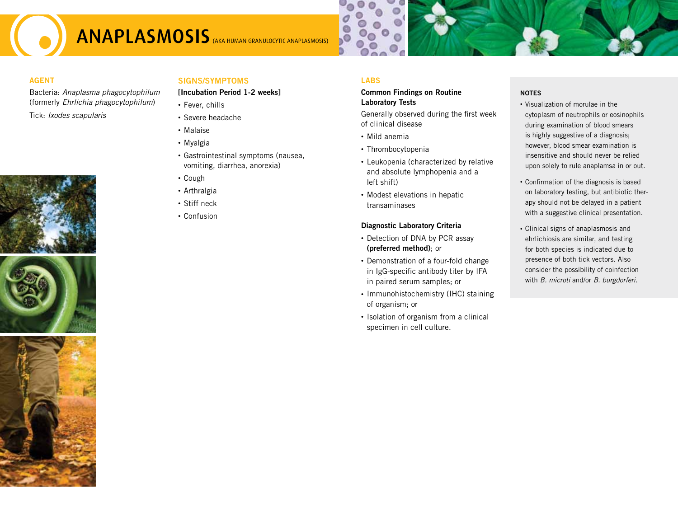### ANAPLASMOSIS (AKA HUMAN GRANULOCYTIC ANAPLASMOSIS)

#### **AGENT**

Bacteria: *Anaplasma phagocytophilum* (formerly *Ehrlichia phagocytophilum*)

Tick: *Ixodes scapularis*







#### **Signs/Symptoms**

**[Incubation Period 1-2 weeks]**

- Fever, chills
- Severe headache
- Malaise
- Myalgia
- Gastrointestinal symptoms (nausea, vomiting, diarrhea, anorexia)
- • Cough
- Arthralgia
- Stiff neck
- Confusion

#### **Labs**

#### **Common Findings on Routine Laboratory Tests**

Generally observed during the first week of clinical disease

- Mild anemia
- Thrombocytopenia
- Leukopenia (characterized by relative and absolute lymphopenia and a left shift)
- Modest elevations in hepatic transaminases

#### **Diagnostic Laboratory Criteria**

- Detection of DNA by PCR assay **(preferred method)**; or
- Demonstration of a four-fold change in IgG-specific antibody titer by IFA in paired serum samples; or
- Immunohistochemistry (IHC) staining of organism; or
- Isolation of organism from a clinical specimen in cell culture.

#### **notes**

- Visualization of morulae in the cytoplasm of neutrophils or eosinophils during examination of blood smears is highly suggestive of a diagnosis; however, blood smear examination is insensitive and should never be relied upon solely to rule anaplamsa in or out.
- Confirmation of the diagnosis is based on laboratory testing, but antibiotic therapy should not be delayed in a patient with a suggestive clinical presentation.
- Clinical signs of anaplasmosis and ehrlichiosis are similar, and testing for both species is indicated due to presence of both tick vectors. Also consider the possibility of coinfection with *B. microti* and/or *B. burgdorferi*.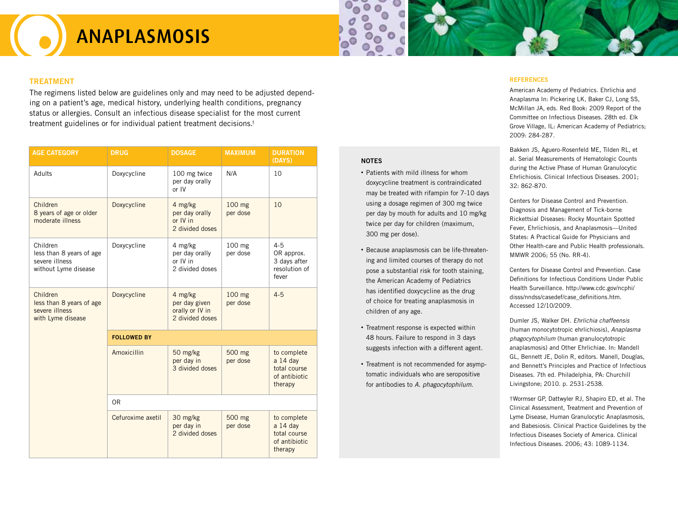### ANAPLASMOSIS



#### **treatment**

The regimens listed below are guidelines only and may need to be adjusted depending on a patient's age, medical history, underlying health conditions, pregnancy status or allergies. Consult an infectious disease specialist for the most current treatment guidelines or for individual patient treatment decisions.†

| <b>AGE CATEGORY</b>                                                            | <b>DRUG</b><br><b>DOSAGE</b>                                                              |                                                          | <b>MAXIMUM</b>     | <b>DURATION</b><br>(DAYS)                                           |  |
|--------------------------------------------------------------------------------|-------------------------------------------------------------------------------------------|----------------------------------------------------------|--------------------|---------------------------------------------------------------------|--|
| Adults                                                                         | Doxycycline                                                                               | 100 mg twice<br>per day orally<br>or IV                  | N/A                | 10                                                                  |  |
| Children<br>8 years of age or older<br>moderate illness                        | Doxycycline                                                                               | 4 mg/kg<br>per day orally<br>or IV in<br>2 divided doses | 100 mg<br>per dose | 10                                                                  |  |
| Children<br>less than 8 years of age<br>severe illness<br>without Lyme disease | Doxycycline                                                                               | 4 mg/kg<br>per day orally<br>or IV in<br>2 divided doses | 100 mg<br>per dose | $4 - 5$<br>OR approx.<br>3 days after<br>resolution of<br>fever     |  |
| Children<br>less than 8 years of age<br>severe illness<br>with Lyme disease    | Doxycycline<br>4 mg/kg<br>$100$ mg<br>per day given<br>orally or IV in<br>2 divided doses |                                                          | per dose           | $4 - 5$                                                             |  |
|                                                                                | <b>FOLLOWED BY</b>                                                                        |                                                          |                    |                                                                     |  |
|                                                                                | Amoxicillin                                                                               | 50 mg/kg<br>per day in<br>3 divided doses                | 500 mg<br>per dose | to complete<br>a 14 day<br>total course<br>of antibiotic<br>therapy |  |
|                                                                                | <b>OR</b>                                                                                 |                                                          |                    |                                                                     |  |
|                                                                                | Cefuroxime axetil                                                                         | 30 mg/kg<br>per day in<br>2 divided doses                | 500 mg<br>per dose | to complete<br>a 14 day<br>total course<br>of antibiotic<br>therapy |  |

#### **notes**

- Patients with mild illness for whom doxycycline treatment is contraindicated may be treated with rifampin for 7-10 days using a dosage regimen of 300 mg twice per day by mouth for adults and 10 mg/kg twice per day for children (maximum, 300 mg per dose).
- • Because anaplasmosis can be life-threatening and limited courses of therapy do not pose a substantial risk for tooth staining, the American Academy of Pediatrics has identified doxycycline as the drug of choice for treating anaplasmosis in children of any age.
- Treatment response is expected within 48 hours. Failure to respond in 3 days suggests infection with a different agent.
- Treatment is not recommended for asymptomatic individuals who are seropositive for antibodies to *A. phagocytophilum*.

#### **REFERENCES**

American Academy of Pediatrics. Ehrlichia and Anaplasma In: Pickering LK, Baker CJ, Long SS, McMillan JA, eds. Red Book: 2009 Report of the Committee on Infectious Diseases. 28th ed. Elk Grove Village, IL: American Academy of Pediatrics; 2009: 284-287.

Bakken JS, Aguero-Rosenfeld ME, Tilden RL, et al. Serial Measurements of Hematologic Counts during the Active Phase of Human Granulocytic Ehrlichiosis. Clinical Infectious Diseases. 2001; 32: 862-870.

Centers for Disease Control and Prevention. Diagnosis and Management of Tick-borne Rickettsial Diseases: Rocky Mountain Spotted Fever, Ehrlichiosis, and Anaplasmosis—United States: A Practical Guide for Physicians and Other Health-care and Public Health professionals. MMWR 2006; 55 (No. RR-4).

Centers for Disease Control and Prevention. Case Definitions for Infectious Conditions Under Public Health Surveillance. http://www.cdc.gov/ncphi/ disss/nndss/casedef/case\_definitions.htm. Accessed 12/10/2009.

Dumler JS, Walker DH. *Ehrlichia chaffeensis* (human monocytotropic ehrlichiosis), *Anaplasma phagocytophilum* (human granulocytotropic anaplasmosis) and Other Ehrlichiae. In: Mandell GL, Bennett JE, Dolin R, editors. Manell, Douglas, and Bennett's Principles and Practice of Infectious Diseases. 7th ed. Philadelphia, PA: Churchill Livingstone; 2010. p. 2531-2538.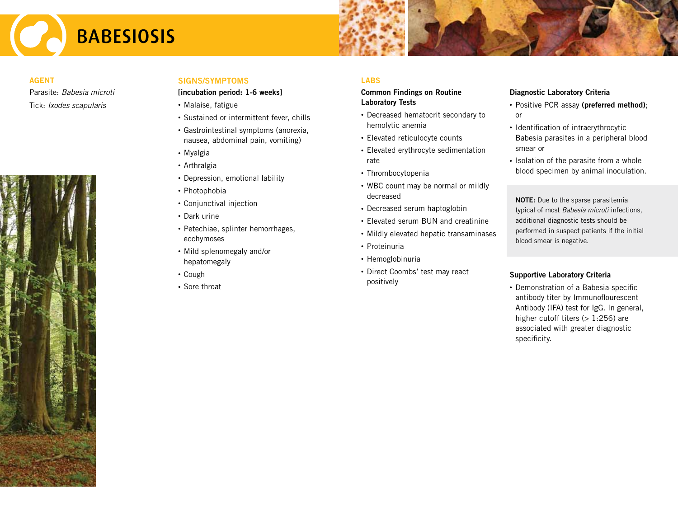



#### **AGENT**

Parasite: *Babesia microti* Tick: *Ixodes scapularis*



#### **Signs/Symptoms**

**[incubation period: 1-6 weeks]**

- Malaise, fatigue
- Sustained or intermittent fever, chills
- Gastrointestinal symptoms (anorexia, nausea, abdominal pain, vomiting)
- Myalgia
- Arthralgia
- Depression, emotional lability
- Photophobia
- Conjunctival injection
- Dark urine
- Petechiae, splinter hemorrhages, ecchymoses
- Mild splenomegaly and/or hepatomegaly
- • Cough
- Sore throat

#### **Labs**

#### **Common Findings on Routine Laboratory Tests**

- Decreased hematocrit secondary to hemolytic anemia
- Elevated reticulocyte counts
- Elevated erythrocyte sedimentation rate
- Thrombocytopenia
- WBC count may be normal or mildly decreased
- Decreased serum haptoglobin
- Elevated serum BUN and creatinine
- Mildly elevated hepatic transaminases
- Proteinuria
- Hemoglobinuria
- Direct Coombs' test may react positively

#### **Diagnostic Laboratory Criteria**

- • Positive PCR assay **(preferred method)**; or
- Identification of intraerythrocytic Babesia parasites in a peripheral blood smear or
- Isolation of the parasite from a whole blood specimen by animal inoculation.

**NOTE:** Due to the sparse parasitemia typical of most *Babesia microti* infections, additional diagnostic tests should be performed in suspect patients if the initial blood smear is negative.

#### **Supportive Laboratory Criteria**

• Demonstration of a Babesia-specific antibody titer by Immunoflourescent Antibody (IFA) test for IgG. In general, higher cutoff titers ( $\geq 1:256$ ) are associated with greater diagnostic specificity.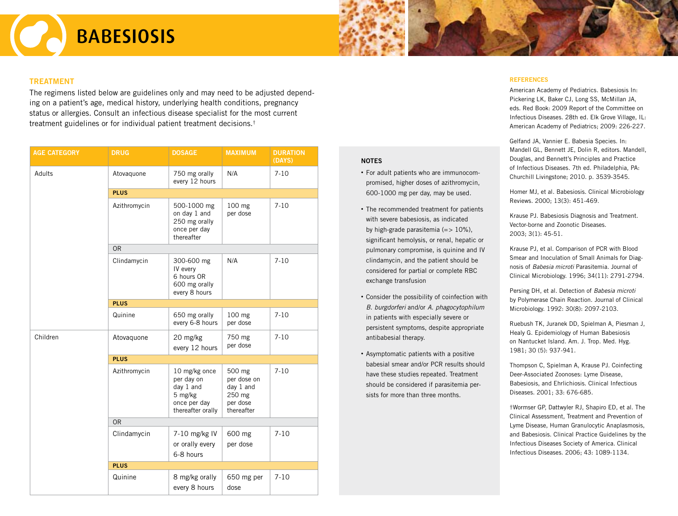BABESIOSIS



#### **treatment**

The regimens listed below are guidelines only and may need to be adjusted depending on a patient's age, medical history, underlying health conditions, pregnancy status or allergies. Consult an infectious disease specialist for the most current treatment guidelines or for individual patient treatment decisions.†

| <b>AGE CATEGORY</b> | <b>DRUG</b>  | <b>DOSAGE</b>                                                                            | <b>MAXIMUM</b>                                                         | <b>DURATION</b><br>(DAYS) |  |  |
|---------------------|--------------|------------------------------------------------------------------------------------------|------------------------------------------------------------------------|---------------------------|--|--|
| Adults              | Atovaquone   | 750 mg orally<br>every 12 hours                                                          | N/A                                                                    | $7-10$                    |  |  |
|                     | <b>PLUS</b>  |                                                                                          |                                                                        |                           |  |  |
|                     | Azithromycin | 500-1000 mg<br>on day 1 and<br>250 mg orally<br>once per day<br>thereafter               | 100 mg<br>per dose                                                     | $7 - 10$                  |  |  |
|                     | <b>OR</b>    |                                                                                          |                                                                        |                           |  |  |
|                     | Clindamycin  | 300-600 mg<br>IV every<br>6 hours OR<br>600 mg orally<br>every 8 hours                   | N/A                                                                    | $7 - 10$                  |  |  |
|                     | <b>PLUS</b>  |                                                                                          |                                                                        |                           |  |  |
|                     | Quinine      | 650 mg orally<br>every 6-8 hours                                                         | 100 mg<br>per dose                                                     | $7 - 10$                  |  |  |
| Children            | Atovaquone   | 20 mg/kg<br>every 12 hours                                                               | 750 mg<br>per dose                                                     | $7 - 10$                  |  |  |
|                     | <b>PLUS</b>  |                                                                                          |                                                                        |                           |  |  |
|                     | Azithromycin | 10 mg/kg once<br>per day on<br>day 1 and<br>5 mg/kg<br>once per day<br>thereafter orally | 500 mg<br>per dose on<br>day 1 and<br>250 mg<br>per dose<br>thereafter | $7 - 10$                  |  |  |
|                     | <b>OR</b>    |                                                                                          |                                                                        |                           |  |  |
|                     | Clindamycin  | 7-10 mg/kg IV<br>or orally every<br>6-8 hours                                            | 600 mg<br>per dose                                                     | $7 - 10$                  |  |  |
|                     | <b>PLUS</b>  |                                                                                          |                                                                        |                           |  |  |
|                     | Quinine      | 8 mg/kg orally<br>every 8 hours                                                          | 650 mg per<br>dose                                                     | $7 - 10$                  |  |  |

#### **notes**

- For adult patients who are immunocompromised, higher doses of azithromycin, 600-1000 mg per day, may be used.
- The recommended treatment for patients with severe babesiosis, as indicated by high-grade parasitemia  $(=$  > 10%), significant hemolysis, or renal, hepatic or pulmonary compromise, is quinine and IV clindamycin, and the patient should be considered for partial or complete RBC exchange transfusion
- • Consider the possibility of coinfection with *B. burgdorferi* and/or *A. phagocytophilum* in patients with especially severe or persistent symptoms, despite appropriate antibabesial therapy.
- • Asymptomatic patients with a positive babesial smear and/or PCR results should have these studies repeated. Treatment should be considered if parasitemia persists for more than three months.

#### **REFERENCES**

American Academy of Pediatrics. Babesiosis In: Pickering LK, Baker CJ, Long SS, McMillan JA, eds. Red Book: 2009 Report of the Committee on Infectious Diseases. 28th ed. Elk Grove Village, IL: American Academy of Pediatrics; 2009: 226-227.

Gelfand JA, Vannier E. Babesia Species. In: Mandell GL, Bennett JE, Dolin R, editors. Mandell, Douglas, and Bennett's Principles and Practice of Infectious Diseases. 7th ed. Philadelphia, PA: Churchill Livingstone; 2010. p. 3539-3545.

Homer MJ, et al. Babesiosis. Clinical Microbiology Reviews. 2000; 13(3): 451-469.

Krause PJ. Babesiosis Diagnosis and Treatment. Vector-borne and Zoonotic Diseases. 2003; 3(1): 45-51.

Krause PJ, et al. Comparison of PCR with Blood Smear and Inoculation of Small Animals for Diagnosis of *Babesia microti* Parasitemia. Journal of Clinical Microbiology. 1996; 34(11): 2791-2794.

Persing DH, et al. Detection of *Babesia microti* by Polymerase Chain Reaction. Journal of Clinical Microbiology. 1992: 30(8): 2097-2103.

Ruebush TK, Juranek DD, Spielman A, Piesman J, Healy G. Epidemiology of Human Babesiosis on Nantucket Island. Am. J. Trop. Med. Hyg. 1981; 30 (5): 937-941.

Thompson C, Spielman A, Krause PJ. Coinfecting Deer-Associated Zoonoses: Lyme Disease, Babesiosis, and Ehrlichiosis. Clinical Infectious Diseases. 2001; 33: 676-685.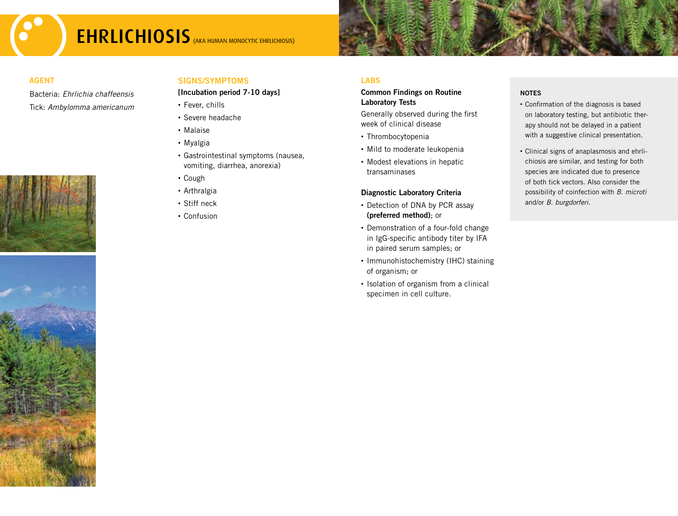### EHRLICHIOSIS (AKA HUMAN MONOCYTIC EHRLICHIOSIS)

#### **AGENT**

Bacteria: *Ehrlichia chaffeensis* Tick: *Ambylomma americanum* 





#### **Signs/Symptoms**

#### **[Incubation period 7-10 days]**

- Fever, chills
- Severe headache
- Malaise
- Myalgia
- Gastrointestinal symptoms (nausea, vomiting, diarrhea, anorexia)
- • Cough
- • Arthralgia
- Stiff neck
- Confusion

#### **Labs**

#### **Common Findings on Routine Laboratory Tests**

Generally observed during the first week of clinical disease

- Thrombocytopenia
- Mild to moderate leukopenia
- Modest elevations in hepatic transaminases

#### **Diagnostic Laboratory Criteria**

- Detection of DNA by PCR assay **(preferred method)**; or
- Demonstration of a four-fold change in IgG-specific antibody titer by IFA in paired serum samples; or
- Immunohistochemistry (IHC) staining of organism; or
- Isolation of organism from a clinical specimen in cell culture.

#### **notes**

- Confirmation of the diagnosis is based on laboratory testing, but antibiotic therapy should not be delayed in a patient with a suggestive clinical presentation.
- • Clinical signs of anaplasmosis and ehrlichiosis are similar, and testing for both species are indicated due to presence of both tick vectors. Also consider the possibility of coinfection with *B. microti* and/or *B. burgdorferi*.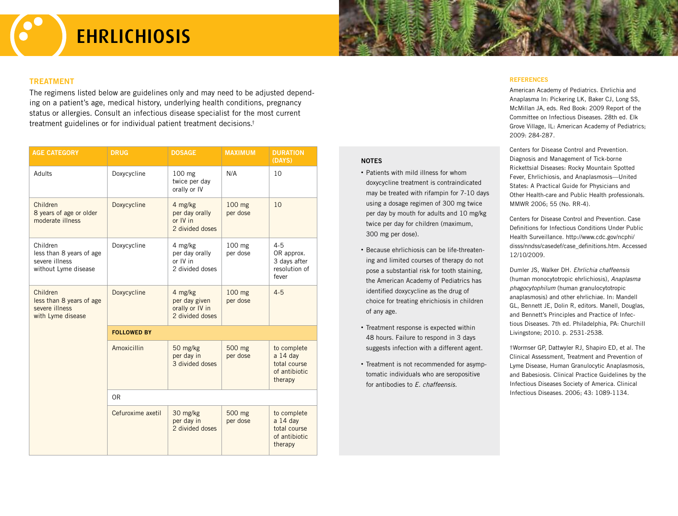EHRLICHIOSIS

#### **treatment**

The regimens listed below are guidelines only and may need to be adjusted depending on a patient's age, medical history, underlying health conditions, pregnancy status or allergies. Consult an infectious disease specialist for the most current treatment guidelines or for individual patient treatment decisions.†

| <b>AGE CATEGORY</b>                                                            | <b>DRUG</b><br><b>DOSAGE</b> |                                                                | <b>MAXIMUM</b>                | <b>DURATION</b><br>(DAYS)                                             |  |
|--------------------------------------------------------------------------------|------------------------------|----------------------------------------------------------------|-------------------------------|-----------------------------------------------------------------------|--|
| Adults                                                                         | Doxycycline                  | 100 mg<br>twice per day<br>orally or IV                        | N/A                           | 10                                                                    |  |
| Children<br>8 years of age or older<br>moderate illness                        | Doxycycline                  | 4 mg/kg<br>per day orally<br>or IV in<br>2 divided doses       | $100$ mg<br>per dose          | 10                                                                    |  |
| Children<br>less than 8 years of age<br>severe illness<br>without Lyme disease | Doxycycline                  | 4 mg/kg<br>per day orally<br>or IV in<br>2 divided doses       | $100$ mg<br>per dose          | $4 - 5$<br>OR approx.<br>3 days after<br>resolution of<br>fever       |  |
| Children<br>less than 8 years of age<br>severe illness<br>with Lyme disease    | Doxycycline                  | 4 mg/kg<br>per day given<br>orally or IV in<br>2 divided doses | $4 - 5$<br>100 mg<br>per dose |                                                                       |  |
|                                                                                | <b>FOLLOWED BY</b>           |                                                                |                               |                                                                       |  |
|                                                                                | Amoxicillin                  | 50 mg/kg<br>per day in<br>3 divided doses                      | 500 mg<br>per dose            | to complete<br>$a$ 14 day<br>total course<br>of antibiotic<br>therapy |  |
|                                                                                | <b>OR</b>                    |                                                                |                               |                                                                       |  |
|                                                                                | Cefuroxime axetil            | 30 mg/kg<br>per day in<br>2 divided doses                      | 500 mg<br>per dose            | to complete<br>a 14 day<br>total course<br>of antibiotic<br>therapy   |  |

#### **notes**

- Patients with mild illness for whom doxycycline treatment is contraindicated may be treated with rifampin for 7-10 days using a dosage regimen of 300 mg twice per day by mouth for adults and 10 mg/kg twice per day for children (maximum, 300 mg per dose).
- Because ehrlichiosis can be life-threatening and limited courses of therapy do not pose a substantial risk for tooth staining, the American Academy of Pediatrics has identified doxycycline as the drug of choice for treating ehrichiosis in children of any age.
- Treatment response is expected within 48 hours. Failure to respond in 3 days suggests infection with a different agent.
- Treatment is not recommended for asymptomatic individuals who are seropositive for antibodies to *E. chaffeensis.*

#### **REFERENCES**

American Academy of Pediatrics. Ehrlichia and Anaplasma In: Pickering LK, Baker CJ, Long SS, McMillan JA, eds. Red Book: 2009 Report of the Committee on Infectious Diseases. 28th ed. Elk Grove Village, IL: American Academy of Pediatrics; 2009: 284-287.

Centers for Disease Control and Prevention. Diagnosis and Management of Tick-borne Rickettsial Diseases: Rocky Mountain Spotted Fever, Ehrlichiosis, and Anaplasmosis—United States: A Practical Guide for Physicians and Other Health-care and Public Health professionals. MMWR 2006; 55 (No. RR-4).

Centers for Disease Control and Prevention. Case Definitions for Infectious Conditions Under Public Health Surveillance. http://www.cdc.gov/ncphi/ disss/nndss/casedef/case\_definitions.htm. Accessed 12/10/2009.

Dumler JS, Walker DH. *Ehrlichia chaffeensis* (human monocytotropic ehrlichiosis), *Anaplasma phagocytophilum* (human granulocytotropic anaplasmosis) and other ehrlichiae. In: Mandell GL, Bennett JE, Dolin R, editors. Manell, Douglas, and Bennett's Principles and Practice of Infectious Diseases. 7th ed. Philadelphia, PA: Churchill Livingstone; 2010. p. 2531-2538.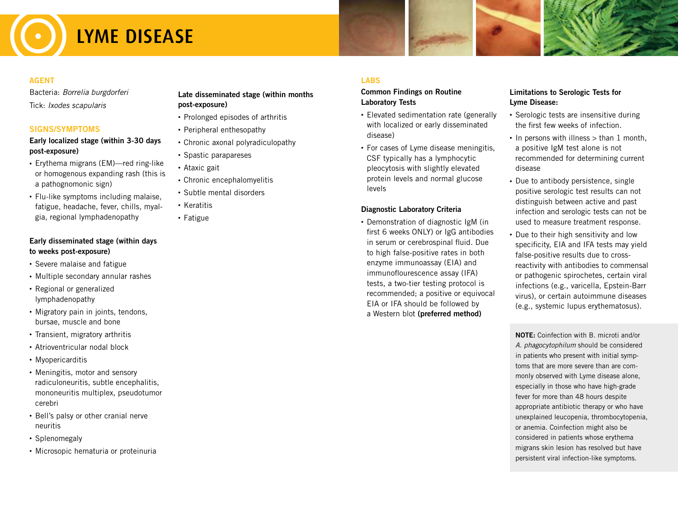



#### **AGENT**

Bacteria: *Borrelia burgdorferi* Tick: *Ixodes scapularis*

#### **Signs/Symptoms**

#### **Early localized stage (within 3-30 days post-exposure)**

- Erythema migrans (EM)—red ring-like or homogenous expanding rash (this is a pathognomonic sign)
- Flu-like symptoms including malaise, fatigue, headache, fever, chills, myalgia, regional lymphadenopathy

#### **Early disseminated stage (within days to weeks post-exposure)**

- Severe malaise and fatigue
- Multiple secondary annular rashes
- Regional or generalized lymphadenopathy
- Migratory pain in joints, tendons, bursae, muscle and bone
- Transient, migratory arthritis
- Atrioventricular nodal block
- Myopericarditis
- Meningitis, motor and sensory radiculoneuritis, subtle encephalitis, mononeuritis multiplex, pseudotumor cerebri
- Bell's palsy or other cranial nerve neuritis
- Splenomegaly
- • Microsopic hematuria or proteinuria

#### **Late disseminated stage (within months post-exposure)**

- Prolonged episodes of arthritis
- Peripheral enthesopathy
- Chronic axonal polyradiculopathy
- Spastic parapareses
- Ataxic gait
- Chronic encephalomyelitis
- Subtle mental disorders
- Keratitis
- Fatigue

### **Labs**

#### **Common Findings on Routine Laboratory Tests**

- Elevated sedimentation rate (generally with localized or early disseminated disease)
- For cases of Lyme disease meningitis, CSF typically has a lymphocytic pleocytosis with slightly elevated protein levels and normal glucose levels

#### **Diagnostic Laboratory Criteria**

• Demonstration of diagnostic IgM (in first 6 weeks ONLY) or IgG antibodies in serum or cerebrospinal fluid. Due to high false-positive rates in both enzyme immunoassay (EIA) and immunoflourescence assay (IFA) tests, a two-tier testing protocol is recommended; a positive or equivocal EIA or IFA should be followed by a Western blot **(preferred method)**

#### **Limitations to Serologic Tests for Lyme Disease:**

- Serologic tests are insensitive during the first few weeks of infection.
- In persons with illness  $>$  than 1 month, a positive IgM test alone is not recommended for determining current disease
- Due to antibody persistence, single positive serologic test results can not distinguish between active and past infection and serologic tests can not be used to measure treatment response.
- Due to their high sensitivity and low specificity, EIA and IFA tests may yield false-positive results due to crossreactivity with antibodies to commensal or pathogenic spirochetes, certain viral infections (e.g., varicella, Epstein-Barr virus), or certain autoimmune diseases (e.g., systemic lupus erythematosus).

**NOTE:** Coinfection with B. microti and/or *A. phagocytophilum* should be considered in patients who present with initial symptoms that are more severe than are commonly observed with Lyme disease alone, especially in those who have high-grade fever for more than 48 hours despite appropriate antibiotic therapy or who have unexplained leucopenia, thrombocytopenia, or anemia. Coinfection might also be considered in patients whose erythema migrans skin lesion has resolved but have persistent viral infection-like symptoms.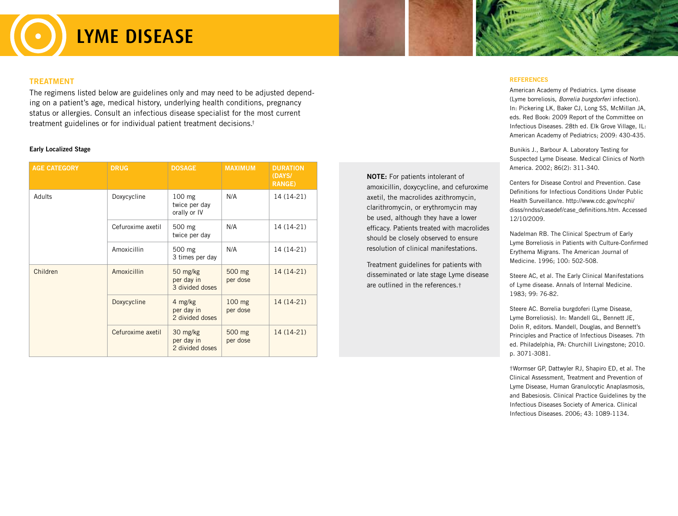Lyme disease

#### **treatment**

The regimens listed below are guidelines only and may need to be adjusted depending on a patient's age, medical history, underlying health conditions, pregnancy status or allergies. Consult an infectious disease specialist for the most current treatment guidelines or for individual patient treatment decisions.†

#### **Early Localized Stage**

| <b>AGE CATEGORY</b> | <b>DRUG</b>       | <b>DOSAGE</b>                                     | <b>MAXIMUM</b>     | <b>DURATION</b><br>(DAYS/<br><b>RANGE)</b> |
|---------------------|-------------------|---------------------------------------------------|--------------------|--------------------------------------------|
| Adults              | Doxycycline       | $100 \text{ mg}$<br>twice per day<br>orally or IV | N/A                | 14 (14-21)                                 |
|                     | Cefuroxime axetil | 500 mg<br>twice per day                           | N/A                | 14 (14-21)                                 |
|                     | Amoxicillin       | 500 mg<br>3 times per day                         | N/A                | 14 (14-21)                                 |
| Children            | Amoxicillin       | $50$ mg/kg<br>per day in<br>3 divided doses       | 500 mg<br>per dose | 14 (14-21)                                 |
|                     | Doxycycline       | 4 mg/kg<br>per day in<br>2 divided doses          | 100 mg<br>per dose | $14(14-21)$                                |
|                     | Cefuroxime axetil | 30 mg/kg<br>per day in<br>2 divided doses         | 500 mg<br>per dose | 14 (14-21)                                 |

**NOTE:** For patients intolerant of amoxicillin, doxycycline, and cefuroxime axetil, the macrolides azithromycin, clarithromycin, or erythromycin may be used, although they have a lower efficacy. Patients treated with macrolides should be closely observed to ensure resolution of clinical manifestations.

Treatment guidelines for patients with disseminated or late stage Lyme disease are outlined in the references.†

#### **REFERENCES**

American Academy of Pediatrics. Lyme disease (Lyme borreliosis, *Borrelia burgdorferi* infection). In: Pickering LK, Baker CJ, Long SS, McMillan JA, eds. Red Book: 2009 Report of the Committee on Infectious Diseases. 28th ed. Elk Grove Village, IL: American Academy of Pediatrics; 2009: 430-435.

Bunikis J., Barbour A. Laboratory Testing for Suspected Lyme Disease. Medical Clinics of North America. 2002; 86(2): 311-340.

Centers for Disease Control and Prevention. Case Definitions for Infectious Conditions Under Public Health Surveillance. http://www.cdc.gov/ncphi/ disss/nndss/casedef/case\_definitions.htm. Accessed 12/10/2009.

Nadelman RB. The Clinical Spectrum of Early Lyme Borreliosis in Patients with Culture-Confirmed Erythema Migrans. The American Journal of Medicine. 1996; 100: 502-508.

Steere AC, et al. The Early Clinical Manifestations of Lyme disease. Annals of Internal Medicine. 1983; 99: 76-82.

Steere AC. Borrelia burgdoferi (Lyme Disease, Lyme Borreliosis). In: Mandell GL, Bennett JE, Dolin R, editors. Mandell, Douglas, and Bennett's Principles and Practice of Infectious Diseases. 7th ed. Philadelphia, PA: Churchill Livingstone; 2010. p. 3071-3081.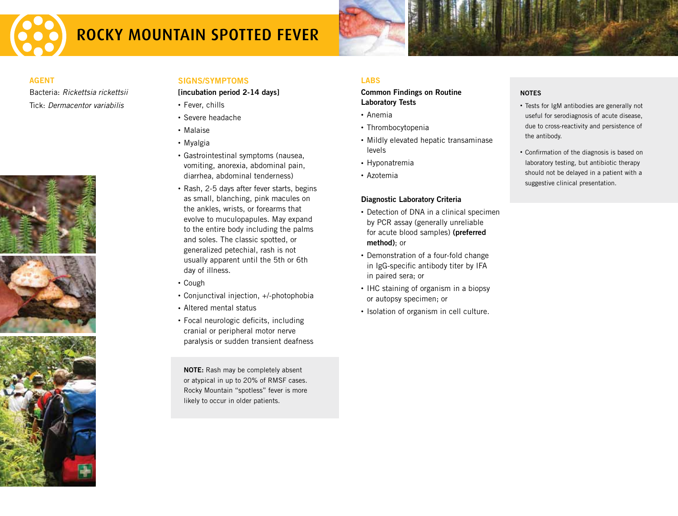

### ROCKY MOUNTAIN SPOTTED FEVER



#### **AGENT**

Bacteria: *Rickettsia rickettsii* Tick: *Dermacentor variabilis*



#### **Signs/Symptoms**

**[incubation period 2-14 days]** 

- Fever, chills
- Severe headache
- Malaise
- Myalgia
- Gastrointestinal symptoms (nausea, vomiting, anorexia, abdominal pain, diarrhea, abdominal tenderness)
- Rash, 2-5 days after fever starts, begins as small, blanching, pink macules on the ankles, wrists, or forearms that evolve to muculopapules. May expand to the entire body including the palms and soles. The classic spotted, or generalized petechial, rash is not usually apparent until the 5th or 6th day of illness.
- • Cough
- Conjunctival injection, +/-photophobia
- Altered mental status
- Focal neurologic deficits, including cranial or peripheral motor nerve paralysis or sudden transient deafness

**NOTE:** Rash may be completely absent or atypical in up to 20% of RMSF cases. Rocky Mountain "spotless" fever is more likely to occur in older patients.

### **Labs**

#### **Common Findings on Routine Laboratory Tests**

- • Anemia
- Thrombocytopenia
- Mildly elevated hepatic transaminase levels
- Hyponatremia
- Azotemia

#### **Diagnostic Laboratory Criteria**

- Detection of DNA in a clinical specimen by PCR assay (generally unreliable for acute blood samples) **(preferred method)**; or
- Demonstration of a four-fold change in IgG-specific antibody titer by IFA in paired sera; or
- IHC staining of organism in a biopsy or autopsy specimen; or
- Isolation of organism in cell culture.

### **notes**

- Tests for IgM antibodies are generally not useful for serodiagnosis of acute disease, due to cross-reactivity and persistence of the antibody.
- Confirmation of the diagnosis is based on laboratory testing, but antibiotic therapy should not be delayed in a patient with a suggestive clinical presentation.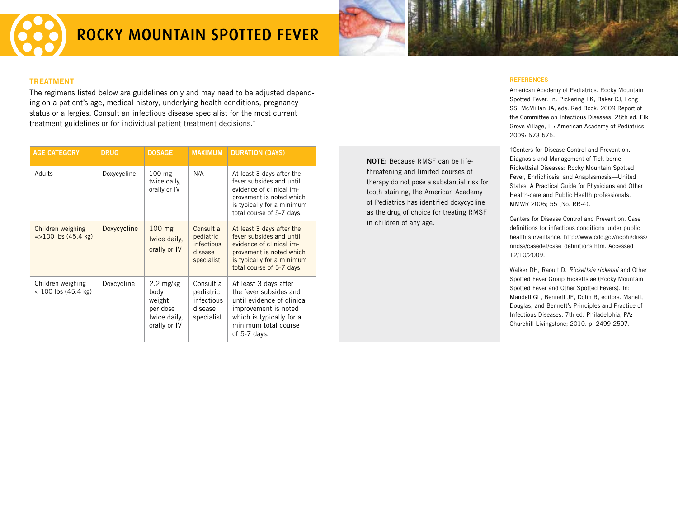



#### **treatment**

The regimens listed below are guidelines only and may need to be adjusted depending on a patient's age, medical history, underlying health conditions, pregnancy status or allergies. Consult an infectious disease specialist for the most current treatment guidelines or for individual patient treatment decisions.†

| <b>AGE CATEGORY</b>                        | <b>DRUG</b> | <b>DOSAGE</b>                                                                     | <b>MAXIMUM</b>                                                       | <b>DURATION (DAYS)</b>                                                                                                                                                      |
|--------------------------------------------|-------------|-----------------------------------------------------------------------------------|----------------------------------------------------------------------|-----------------------------------------------------------------------------------------------------------------------------------------------------------------------------|
| Adults                                     | Doxycycline | $100 \text{ mg}$<br>twice daily,<br>orally or IV                                  | N/A                                                                  | At least 3 days after the<br>fever subsides and until<br>evidence of clinical im-<br>provement is noted which<br>is typically for a minimum<br>total course of 5-7 days.    |
| Children weighing<br>$=$ 100 lbs (45.4 kg) | Doxycycline | $100 \text{ mg}$<br>twice daily,<br>orally or IV                                  | Consult a<br>pediatric<br><i>infectious</i><br>disease<br>specialist | At least 3 days after the<br>fever subsides and until<br>evidence of clinical im-<br>provement is noted which<br>is typically for a minimum<br>total course of 5-7 days.    |
| Children weighing<br>$< 100$ lbs (45.4 kg) | Doxcycline  | $2.2 \text{ mg/kg}$<br>body<br>weight<br>per dose<br>twice daily,<br>orally or IV | Consult a<br>pediatric<br>infectious<br>disease<br>specialist        | At least 3 days after<br>the fever subsides and<br>until evidence of clinical<br>improvement is noted<br>which is typically for a<br>minimum total course<br>of $5-7$ days. |

**NOTE:** Because RMSF can be lifethreatening and limited courses of therapy do not pose a substantial risk for tooth staining, the American Academy of Pediatrics has identified doxycycline as the drug of choice for treating RMSF in children of any age.

#### **REFERENCES**

American Academy of Pediatrics. Rocky Mountain Spotted Fever. In: Pickering LK, Baker CJ, Long SS, McMillan JA, eds. Red Book: 2009 Report of the Committee on Infectious Diseases. 28th ed. Elk Grove Village, IL: American Academy of Pediatrics; 2009: 573-575.

†Centers for Disease Control and Prevention. Diagnosis and Management of Tick-borne Rickettsial Diseases: Rocky Mountain Spotted Fever, Ehrlichiosis, and Anaplasmosis—United States: A Practical Guide for Physicians and Other Health-care and Public Health professionals. MMWR 2006; 55 (No. RR-4).

Centers for Disease Control and Prevention. Case definitions for infectious conditions under public health surveillance. http://www.cdc.gov/ncphi/disss/ nndss/casedef/case\_definitions.htm. Accessed 12/10/2009.

Walker DH, Raoult D. *Rickettsia ricketsii* and Other Spotted Fever Group Rickettsiae (Rocky Mountain Spotted Fever and Other Spotted Fevers). In: Mandell GL, Bennett JE, Dolin R, editors. Manell, Douglas, and Bennett's Principles and Practice of Infectious Diseases. 7th ed. Philadelphia, PA: Churchill Livingstone; 2010. p. 2499-2507.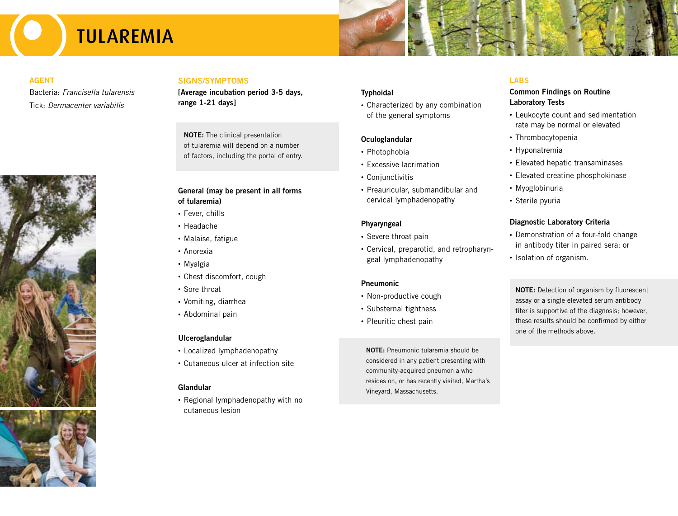# TULAREMIA



#### **AGENT**

Bacteria: *Francisella tularensis* Tick: *Dermacenter variabilis*



#### **Signs/Symptoms**

**[Average incubation period 3-5 days, range 1-21 days]** 

**NOTE:** The clinical presentation of tularemia will depend on a number of factors, including the portal of entry.

#### **General (may be present in all forms of tularemia)**

- Fever, chills
- Headache
- Malaise, fatigue
- Anorexia
- Myalgia
- Chest discomfort, cough
- Sore throat
- • Vomiting, diarrhea
- Abdominal pain

#### **Ulceroglandular**

- Localized lymphadenopathy
- Cutaneous ulcer at infection site

#### **Glandular**

• Regional lymphadenopathy with no cutaneous lesion

#### **Typhoidal**

• Characterized by any combination of the general symptoms

#### **Oculoglandular**

- Photophobia
- Excessive lacrimation
- Conjunctivitis
- Preauricular, submandibular and cervical lymphadenopathy

#### **Phyaryngeal**

- Severe throat pain
- • Cervical, preparotid, and retropharyngeal lymphadenopathy

#### **Pneumonic**

- Non-productive cough
- Substernal tightness
- Pleuritic chest pain

 **NOTE:** Pneumonic tularemia should be considered in any patient presenting with community-acquired pneumonia who resides on, or has recently visited, Martha's Vineyard, Massachusetts.

#### **Labs**

#### **Common Findings on Routine Laboratory Tests**

- Leukocyte count and sedimentation rate may be normal or elevated
- Thrombocytopenia
- Hyponatremia
- Elevated hepatic transaminases
- Elevated creatine phosphokinase
- Myoglobinuria
- Sterile pyuria

#### **Diagnostic Laboratory Criteria**

- Demonstration of a four-fold change in antibody titer in paired sera; or
- Isolation of organism.

**NOTE:** Detection of organism by fluorescent assay or a single elevated serum antibody titer is supportive of the diagnosis; however, these results should be confirmed by either one of the methods above.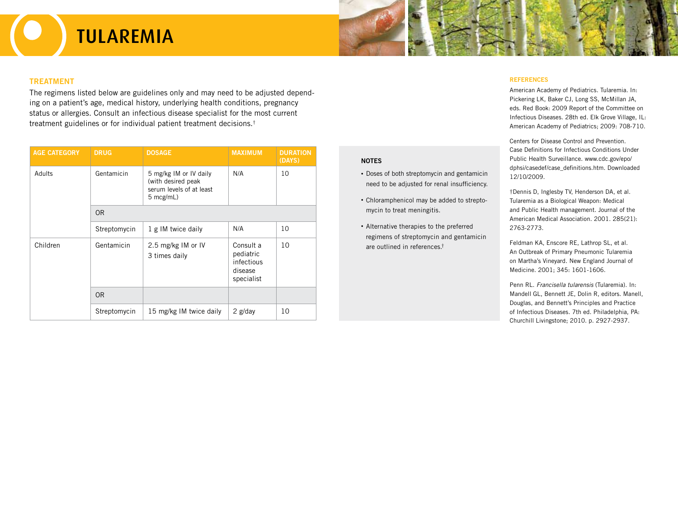TULAREMIA



#### **treatment**

The regimens listed below are guidelines only and may need to be adjusted depending on a patient's age, medical history, underlying health conditions, pregnancy status or allergies. Consult an infectious disease specialist for the most current treatment guidelines or for individual patient treatment decisions.†

| <b>AGE CATEGORY</b> | <b>DRUG</b>  | <b>DOSAGE</b>                                                                         | <b>MAXIMUM</b>                                                | <b>DURATION</b><br>(DAYS) |  |
|---------------------|--------------|---------------------------------------------------------------------------------------|---------------------------------------------------------------|---------------------------|--|
| Adults              | Gentamicin   | 5 mg/kg IM or IV daily<br>(with desired peak<br>serum levels of at least<br>5 mcg/mL) | N/A                                                           | 10                        |  |
|                     | <b>OR</b>    |                                                                                       |                                                               |                           |  |
|                     | Streptomycin | 1 g IM twice daily                                                                    | N/A                                                           | 10                        |  |
| Children            | Gentamicin   | 2.5 mg/kg IM or IV<br>3 times daily                                                   | Consult a<br>pediatric<br>infectious<br>disease<br>specialist | 10                        |  |
|                     | <b>OR</b>    |                                                                                       |                                                               |                           |  |
|                     | Streptomycin | 15 mg/kg IM twice daily                                                               | $2$ g/day                                                     | 10                        |  |

#### **NOTES**

- Doses of both streptomycin and gentamicin need to be adjusted for renal insufficiency.
- Chloramphenicol may be added to streptomycin to treat meningitis.
- Alternative therapies to the preferred regimens of streptomycin and gentamicin are outlined in references.†

#### **REFERENCES**

American Academy of Pediatrics. Tularemia. In: Pickering LK, Baker CJ, Long SS, McMillan JA, eds. Red Book: 2009 Report of the Committee on Infectious Diseases. 28th ed. Elk Grove Village, IL: American Academy of Pediatrics; 2009: 708-710.

Centers for Disease Control and Prevention. Case Definitions for Infectious Conditions Under Public Health Surveillance. www.cdc.gov/epo/ dphsi/casedef/case\_definitions.htm. Downloaded 12/10/2009.

†Dennis D, Inglesby TV, Henderson DA, et al. Tularemia as a Biological Weapon: Medical and Public Health management. Journal of the American Medical Association. 2001. 285(21): 2763-2773.

Feldman KA, Enscore RE, Lathrop SL, et al. An Outbreak of Primary Pneumonic Tularemia on Martha's Vineyard. New England Journal of Medicine. 2001; 345: 1601-1606.

Penn RL. *Francisella tularensis* (Tularemia). In: Mandell GL, Bennett JE, Dolin R, editors. Manell, Douglas, and Bennett's Principles and Practice of Infectious Diseases. 7th ed. Philadelphia, PA: Churchill Livingstone; 2010. p. 2927-2937.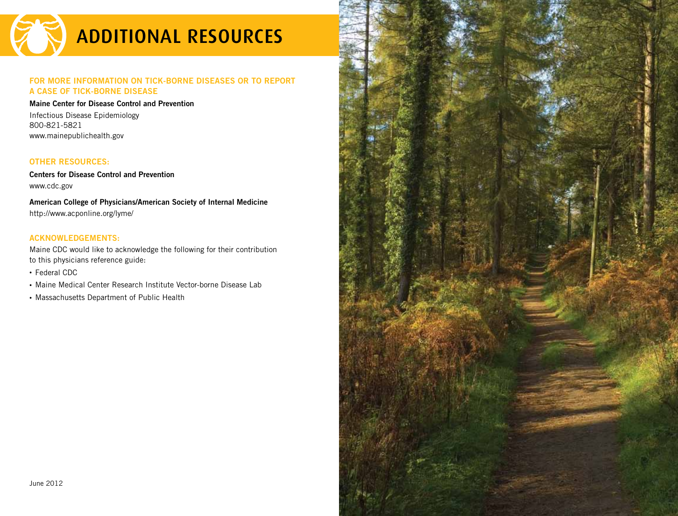

# Additional resources

#### **For more information on tick-borne diseases or to report a case of tick-borne disease**

**Maine Center for Disease Control and Prevention** Infectious Disease Epidemiology 800-821-5821 www.mainepublichealth.gov

#### **Other resources:**

**Centers for Disease Control and Prevention** www.cdc.gov

**American College of Physicians/American Society of Internal Medicine** http://www.acponline.org/lyme/

#### **acknowledgements:**

Maine CDC would like to acknowledge the following for their contribution to this physicians reference guide:

- Federal CDC
- Maine Medical Center Research Institute Vector-borne Disease Lab
- Massachusetts Department of Public Health